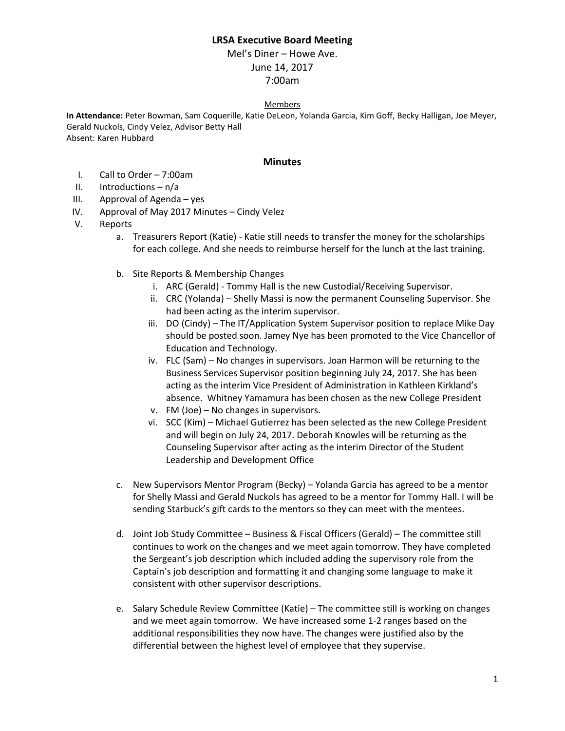## **LRSA Executive Board Meeting**

Mel's Diner – Howe Ave. June 14, 2017 7:00am

## Members

**In Attendance:** Peter Bowman, Sam Coquerille, Katie DeLeon, Yolanda Garcia, Kim Goff, Becky Halligan, Joe Meyer, Gerald Nuckols, Cindy Velez, Advisor Betty Hall Absent: Karen Hubbard

## **Minutes**

- I. Call to Order 7:00am
- II. Introductions  $n/a$
- III. Approval of Agenda yes
- IV. Approval of May 2017 Minutes Cindy Velez
- V. Reports
	- a. Treasurers Report (Katie) Katie still needs to transfer the money for the scholarships for each college. And she needs to reimburse herself for the lunch at the last training.
	- b. Site Reports & Membership Changes
		- i. ARC (Gerald) Tommy Hall is the new Custodial/Receiving Supervisor.
		- ii. CRC (Yolanda) Shelly Massi is now the permanent Counseling Supervisor. She had been acting as the interim supervisor.
		- iii. DO (Cindy) The IT/Application System Supervisor position to replace Mike Day should be posted soon. Jamey Nye has been promoted to the Vice Chancellor of Education and Technology.
		- iv. FLC (Sam) No changes in supervisors. Joan Harmon will be returning to the Business Services Supervisor position beginning July 24, 2017. She has been acting as the interim Vice President of Administration in Kathleen Kirkland's absence. Whitney Yamamura has been chosen as the new College President
		- v. FM (Joe) No changes in supervisors.
		- vi. SCC (Kim) Michael Gutierrez has been selected as the new College President and will begin on July 24, 2017. Deborah Knowles will be returning as the Counseling Supervisor after acting as the interim Director of the Student Leadership and Development Office
	- c. New Supervisors Mentor Program (Becky) Yolanda Garcia has agreed to be a mentor for Shelly Massi and Gerald Nuckols has agreed to be a mentor for Tommy Hall. I will be sending Starbuck's gift cards to the mentors so they can meet with the mentees.
	- d. Joint Job Study Committee Business & Fiscal Officers (Gerald) The committee still continues to work on the changes and we meet again tomorrow. They have completed the Sergeant's job description which included adding the supervisory role from the Captain's job description and formatting it and changing some language to make it consistent with other supervisor descriptions.
	- e. Salary Schedule Review Committee (Katie) The committee still is working on changes and we meet again tomorrow. We have increased some 1-2 ranges based on the additional responsibilities they now have. The changes were justified also by the differential between the highest level of employee that they supervise.